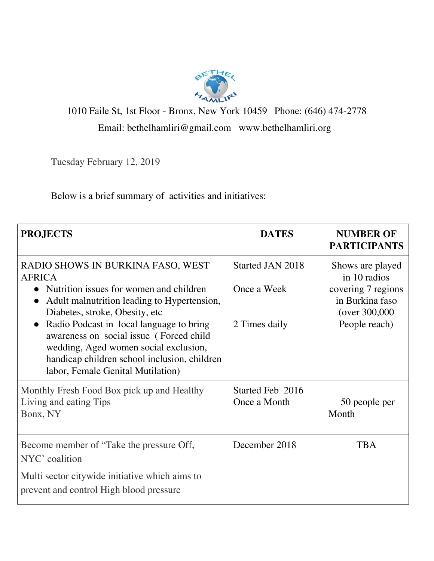

1010 Faile St, 1st Floor - Bronx, New York 10459 Phone: (646) 474-2778 Email: bethelhamliri@gmail.com www.bethelhamliri.org

Tuesday February 12, 2019

Below is a brief summary of activities and initiatives:

| <b>PROJECTS</b>                                                                                                                                                       | <b>DATES</b>                     | <b>NUMBER OF</b><br><b>PARTICIPANTS</b>                |
|-----------------------------------------------------------------------------------------------------------------------------------------------------------------------|----------------------------------|--------------------------------------------------------|
| RADIO SHOWS IN BURKINA FASO, WEST<br><b>AFRICA</b><br>• Nutrition issues for women and children                                                                       | Started JAN 2018<br>Once a Week  | Shows are played<br>in 10 radios<br>covering 7 regions |
| Adult malnutrition leading to Hypertension,<br>$\bullet$<br>Diabetes, stroke, Obesity, etc.<br>Radio Podcast in local language to bring                               | 2 Times daily                    | in Burkina faso<br>(over 300,000)<br>People reach)     |
| awareness on social issue (Forced child<br>wedding, Aged women social exclusion,<br>handicap children school inclusion, children<br>labor, Female Genital Mutilation) |                                  |                                                        |
| Monthly Fresh Food Box pick up and Healthy<br>Living and eating Tips<br>Bonx, NY                                                                                      | Started Feb 2016<br>Once a Month | 50 people per<br>Month                                 |
| Become member of "Take the pressure Off,<br>NYC' coalition                                                                                                            | December 2018                    | <b>TBA</b>                                             |
| Multi sector citywide initiative which aims to<br>prevent and control High blood pressure                                                                             |                                  |                                                        |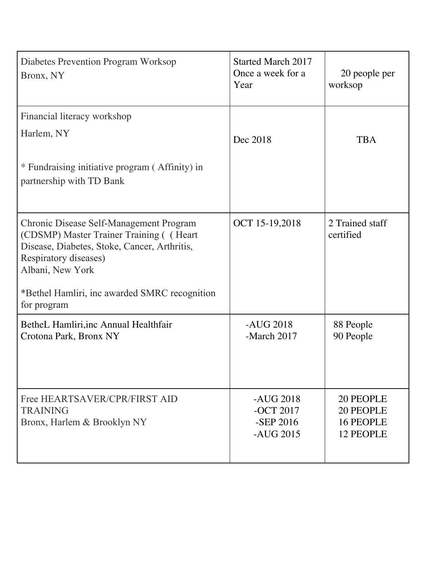| Diabetes Prevention Program Worksop<br>Bronx, NY                                                                                                                                 | <b>Started March 2017</b><br>Once a week for a<br>Year | 20 people per<br>worksop                                |
|----------------------------------------------------------------------------------------------------------------------------------------------------------------------------------|--------------------------------------------------------|---------------------------------------------------------|
| Financial literacy workshop                                                                                                                                                      |                                                        |                                                         |
| Harlem, NY                                                                                                                                                                       | Dec 2018                                               | <b>TBA</b>                                              |
| * Fundraising initiative program (Affinity) in<br>partnership with TD Bank                                                                                                       |                                                        |                                                         |
| Chronic Disease Self-Management Program<br>(CDSMP) Master Trainer Training ((Heart)<br>Disease, Diabetes, Stoke, Cancer, Arthritis,<br>Respiratory diseases)<br>Albani, New York | OCT 15-19,2018                                         | 2 Trained staff<br>certified                            |
| *Bethel Hamliri, inc awarded SMRC recognition<br>for program                                                                                                                     |                                                        |                                                         |
| BetheL Hamliri, inc Annual Healthfair<br>Crotona Park, Bronx NY                                                                                                                  | $-AUG$ 2018<br>-March 2017                             | 88 People<br>90 People                                  |
| Free HEARTSAVER/CPR/FIRST AID<br><b>TRAINING</b><br>Bronx, Harlem & Brooklyn NY                                                                                                  | $-AUG$ 2018<br>-OCT 2017<br>-SEP 2016<br>$-AUG$ 2015   | 20 PEOPLE<br>20 PEOPLE<br><b>16 PEOPLE</b><br>12 PEOPLE |